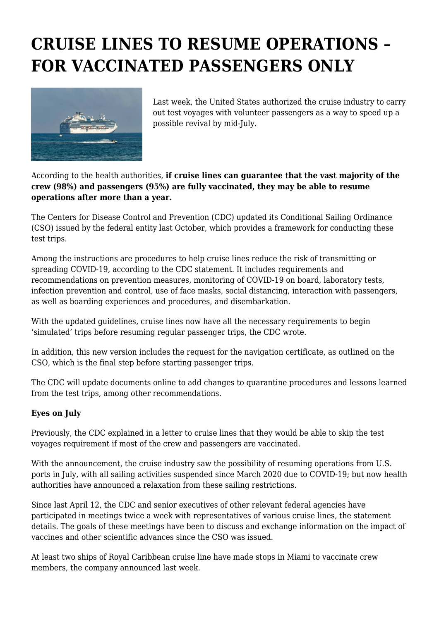## **CRUISE LINES TO RESUME OPERATIONS – FOR VACCINATED PASSENGERS ONLY**



Last week, the United States authorized the cruise industry to carry out test voyages with volunteer passengers as a way to speed up a possible revival by mid-July.

## According to the health authorities, **if cruise lines can guarantee that the vast majority of the crew (98%) and passengers (95%) are fully vaccinated, they may be able to resume operations after more than a year.**

The Centers for Disease Control and Prevention (CDC) updated its Conditional Sailing Ordinance (CSO) issued by the federal entity last October, which provides a framework for conducting these test trips.

Among the instructions are procedures to help cruise lines reduce the risk of transmitting or spreading COVID-19, according to the CDC statement. It includes requirements and recommendations on prevention measures, monitoring of COVID-19 on board, laboratory tests, infection prevention and control, use of face masks, social distancing, interaction with passengers, as well as boarding experiences and procedures, and disembarkation.

With the updated guidelines, cruise lines now have all the necessary requirements to begin 'simulated' trips before resuming regular passenger trips, the CDC wrote.

In addition, this new version includes the request for the navigation certificate, as outlined on the CSO, which is the final step before starting passenger trips.

The CDC will update documents online to add changes to quarantine procedures and lessons learned from the test trips, among other recommendations.

## **Eyes on July**

Previously, the CDC explained in a letter to cruise lines that they would be able to skip the test voyages requirement if most of the crew and passengers are vaccinated.

With the announcement, the cruise industry saw the possibility of resuming operations from U.S. ports in July, with all sailing activities suspended since March 2020 due to COVID-19; but now health authorities have announced a relaxation from these sailing restrictions.

Since last April 12, the CDC and senior executives of other relevant federal agencies have participated in meetings twice a week with representatives of various cruise lines, the statement details. The goals of these meetings have been to discuss and exchange information on the impact of vaccines and other scientific advances since the CSO was issued.

At least two ships of Royal Caribbean cruise line have made stops in Miami to vaccinate crew members, the company announced last week.